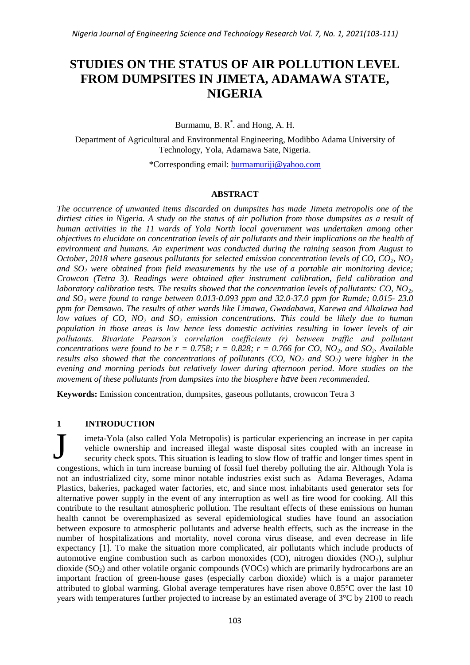# **STUDIES ON THE STATUS OF AIR POLLUTION LEVEL FROM DUMPSITES IN JIMETA, ADAMAWA STATE, NIGERIA**

Burmamu, B.  $R^*$ . and Hong, A. H.

Department of Agricultural and Environmental Engineering, Modibbo Adama University of Technology, Yola, Adamawa Sate, Nigeria.

\*Corresponding email: [burmamuriji@yahoo.com](mailto:burmamuriji@yahoo.com)

## **ABSTRACT**

*The occurrence of unwanted items discarded on dumpsites has made Jimeta metropolis one of the dirtiest cities in Nigeria. A study on the status of air pollution from those dumpsites as a result of human activities in the 11 wards of Yola North local government was undertaken among other objectives to elucidate on concentration levels of air pollutants and their implications on the health of environment and humans. An experiment was conducted during the raining season from August to October, 2018 where gaseous pollutants for selected emission concentration levels of CO, CO2, NO<sup>2</sup> and SO<sup>2</sup> were obtained from field measurements by the use of a portable air monitoring device; Crowcon (Tetra 3). Readings were obtained after instrument calibration, field calibration and laboratory calibration tests. The results showed that the concentration levels of pollutants: CO, NO2, and SO<sup>2</sup> were found to range between 0.013-0.093 ppm and 32.0-37.0 ppm for Rumde; 0.015- 23.0 ppm for Demsawo. The results of other wards like Limawa, Gwadabawa, Karewa and Alkalawa had low values of CO, NO<sup>2</sup> and SO<sup>2</sup> emission concentrations. This could be likely due to human population in those areas is low hence less domestic activities resulting in lower levels of air pollutants. Bivariate Pearson's correlation coefficients (r) between traffic and pollutant concentrations were found to be r = 0.758; r = 0.828; r = 0.766 for CO, NO<sub>2</sub>, and SO<sub>2</sub>. Available results also showed that the concentrations of pollutants (CO, NO<sup>2</sup> and SO2) were higher in the evening and morning periods but relatively lower during afternoon period. More studies on the movement of these pollutants from dumpsites into the biosphere have been recommended.*

**Keywords:** Emission concentration, dumpsites, gaseous pollutants, crowncon Tetra 3

## **1 INTRODUCTION**

imeta-Yola (also called Yola Metropolis) is particular experiencing an increase in per capita vehicle ownership and increased illegal waste disposal sites coupled with an increase in security check spots. This situation is leading to slow flow of traffic and longer times spent in congestions, which in turn increase burning of fossil fuel thereby polluting the air. Although Yola is not an industrialized city, some minor notable industries exist such as Adama Beverages, Adama Plastics, bakeries, packaged water factories, etc, and since most inhabitants used generator sets for alternative power supply in the event of any interruption as well as fire wood for cooking. All this contribute to the resultant atmospheric pollution. The resultant effects of these emissions on human health cannot be overemphasized as several epidemiological studies have found an association between exposure to atmospheric pollutants and adverse health effects, such as the increase in the number of hospitalizations and mortality, novel corona virus disease, and even decrease in life expectancy [1]. To make the situation more complicated, air pollutants which include products of automotive engine combustion such as carbon monoxides (CO), nitrogen dioxides ( $NO<sub>2</sub>$ ), sulphur dioxide  $(SO<sub>2</sub>)$  and other volatile organic compounds  $(VOCs)$  which are primarily hydrocarbons are an important fraction of green-house gases (especially carbon dioxide) which is a major parameter attributed to global warming. Global average temperatures have risen above 0.85°C over the last 10 years with temperatures further projected to increase by an estimated average of 3°C by 2100 to reach J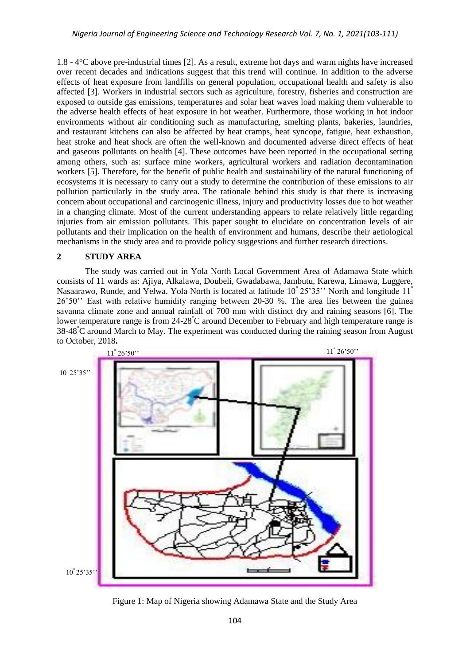1.8 - 4°C above pre-industrial times [2]. As a result, extreme hot days and warm nights have increased over recent decades and indications suggest that this trend will continue. In addition to the adverse effects of heat exposure from landfills on general population, occupational health and safety is also affected [3]. Workers in industrial sectors such as agriculture, forestry, fisheries and construction are exposed to outside gas emissions, temperatures and solar heat waves load making them vulnerable to the adverse health effects of heat exposure in hot weather. Furthermore, those working in hot indoor environments without air conditioning such as manufacturing, smelting plants, bakeries, laundries, and restaurant kitchens can also be affected by heat cramps, heat syncope, fatigue, heat exhaustion, heat stroke and heat shock are often the well-known and documented adverse direct effects of heat and gaseous pollutants on health [4]. These outcomes have been reported in the occupational setting among others, such as: surface mine workers, agricultural workers and radiation decontamination workers [5]. Therefore, for the benefit of public health and sustainability of the natural functioning of ecosystems it is necessary to carry out a study to determine the contribution of these emissions to air pollution particularly in the study area. The rationale behind this study is that there is increasing concern about occupational and carcinogenic illness, injury and productivity losses due to hot weather in a changing climate. Most of the current understanding appears to relate relatively little regarding injuries from air emission pollutants. This paper sought to elucidate on concentration levels of air pollutants and their implication on the health of environment and humans, describe their aetiological mechanisms in the study area and to provide policy suggestions and further research directions.

## **2 STUDY AREA**

The study was carried out in Yola North Local Government Area of Adamawa State which consists of 11 wards as: Ajiya, Alkalawa, Doubeli, Gwadabawa, Jambutu, Karewa, Limawa, Luggere, Nasaarawo, Runde, and Yelwa. Yola North is located at latitude 10° 25'35'' North and longitude 11° 26'50'' East with relative humidity ranging between 20-30 %. The area lies between the guinea savanna climate zone and annual rainfall of 700 mm with distinct dry and raining seasons [6]. The lower temperature range is from 24-28°C around December to February and high temperature range is 38-48°C around March to May. The experiment was conducted during the raining season from August to October, 2018**.**



Figure 1: Map of Nigeria showing Adamawa State and the Study Area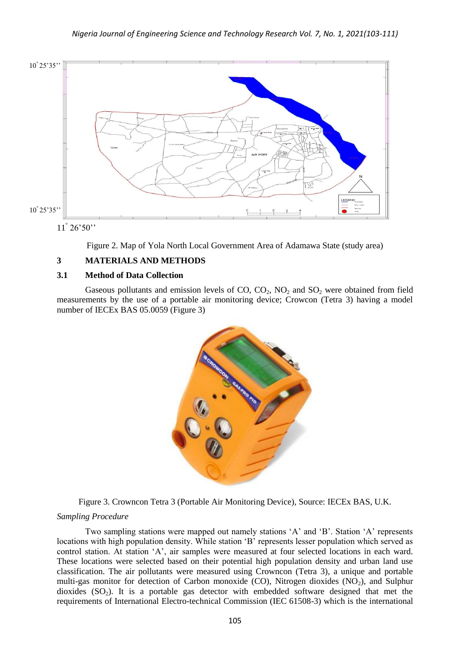

11° 26'50''

Figure 2. Map of Yola North Local Government Area of Adamawa State (study area)

# **3 MATERIALS AND METHODS**

## **3.1 Method of Data Collection**

Gaseous pollutants and emission levels of  $CO$ ,  $CO<sub>2</sub>$ ,  $NO<sub>2</sub>$  and  $SO<sub>2</sub>$  were obtained from field measurements by the use of a portable air monitoring device; Crowcon (Tetra 3) having a model number of IECEx BAS 05.0059 (Figure 3)



Figure 3. Crowncon Tetra 3 (Portable Air Monitoring Device), Source: IECEx BAS, U.K.

## *Sampling Procedure*

Two sampling stations were mapped out namely stations 'A' and 'B'. Station 'A' represents locations with high population density. While station 'B' represents lesser population which served as control station. At station 'A', air samples were measured at four selected locations in each ward. These locations were selected based on their potential high population density and urban land use classification. The air pollutants were measured using Crowncon (Tetra 3), a unique and portable multi-gas monitor for detection of Carbon monoxide (CO), Nitrogen dioxides  $(NO<sub>2</sub>)$ , and Sulphur dioxides  $(SO<sub>2</sub>)$ . It is a portable gas detector with embedded software designed that met the requirements of International Electro-technical Commission (IEC 61508-3) which is the international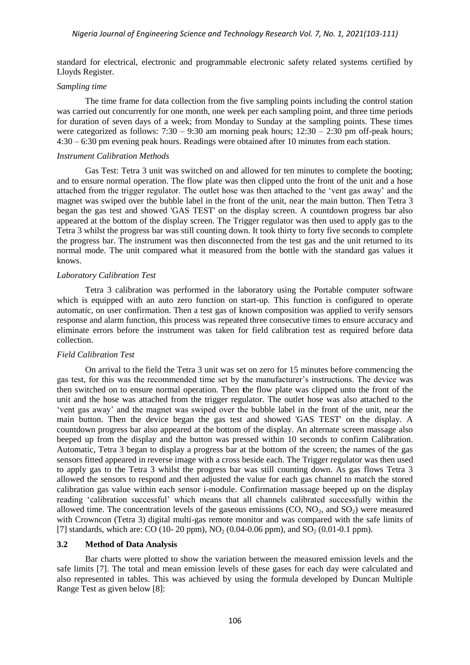standard for electrical, electronic and programmable electronic safety related systems certified by Lloyds Register.

#### *Sampling time*

The time frame for data collection from the five sampling points including the control station was carried out concurrently for one month, one week per each sampling point, and three time periods for duration of seven days of a week; from Monday to Sunday at the sampling points. These times were categorized as follows:  $7:30 - 9:30$  am morning peak hours;  $12:30 - 2:30$  pm off-peak hours; 4:30 – 6:30 pm evening peak hours. Readings were obtained after 10 minutes from each station.

#### *Instrument Calibration Methods*

Gas Test: Tetra 3 unit was switched on and allowed for ten minutes to complete the booting; and to ensure normal operation. The flow plate was then clipped unto the front of the unit and a hose attached from the trigger regulator. The outlet hose was then attached to the 'vent gas away' and the magnet was swiped over the bubble label in the front of the unit, near the main button. Then Tetra 3 began the gas test and showed 'GAS TEST' on the display screen. A countdown progress bar also appeared at the bottom of the display screen. The Trigger regulator was then used to apply gas to the Tetra 3 whilst the progress bar was still counting down. It took thirty to forty five seconds to complete the progress bar. The instrument was then disconnected from the test gas and the unit returned to its normal mode. The unit compared what it measured from the bottle with the standard gas values it knows.

## *Laboratory Calibration Test*

Tetra 3 calibration was performed in the laboratory using the Portable computer software which is equipped with an auto zero function on start-up. This function is configured to operate automatic, on user confirmation. Then a test gas of known composition was applied to verify sensors response and alarm function, this process was repeated three consecutive times to ensure accuracy and eliminate errors before the instrument was taken for field calibration test as required before data collection.

## *Field Calibration Test*

On arrival to the field the Tetra 3 unit was set on zero for 15 minutes before commencing the gas test, for this was the recommended time set by the manufacturer's instructions. The device was then switched on to ensure normal operation. Then **t**he flow plate was clipped unto the front of the unit and the hose was attached from the trigger regulator. The outlet hose was also attached to the 'vent gas away' and the magnet was swiped over the bubble label in the front of the unit, near the main button. Then the device began the gas test and showed 'GAS TEST' on the display. A countdown progress bar also appeared at the bottom of the display. An alternate screen massage also beeped up from the display and the button was pressed within 10 seconds to confirm Calibration. Automatic, Tetra 3 began to display a progress bar at the bottom of the screen; the names of the gas sensors fitted appeared in reverse image with a cross beside each. The Trigger regulator was then used to apply gas to the Tetra 3 whilst the progress bar was still counting down. As gas flows Tetra 3 allowed the sensors to respond and then adjusted the value for each gas channel to match the stored calibration gas value within each sensor i-module. Confirmation massage beeped up on the display reading 'calibration successful' which means that all channels calibrated successfully within the allowed time. The concentration levels of the gaseous emissions  $(CO, NO<sub>2</sub>, and SO<sub>2</sub>)$  were measured with Crowncon (Tetra 3) digital multi-gas remote monitor and was compared with the safe limits of [7] standards, which are: CO (10- 20 ppm),  $NO_2$  (0.04-0.06 ppm), and  $SO_2$  (0.01-0.1 ppm).

## **3.2 Method of Data Analysis**

Bar charts were plotted to show the variation between the measured emission levels and the safe limits [7]. The total and mean emission levels of these gases for each day were calculated and also represented in tables. This was achieved by using the formula developed by Duncan Multiple Range Test as given below [8]: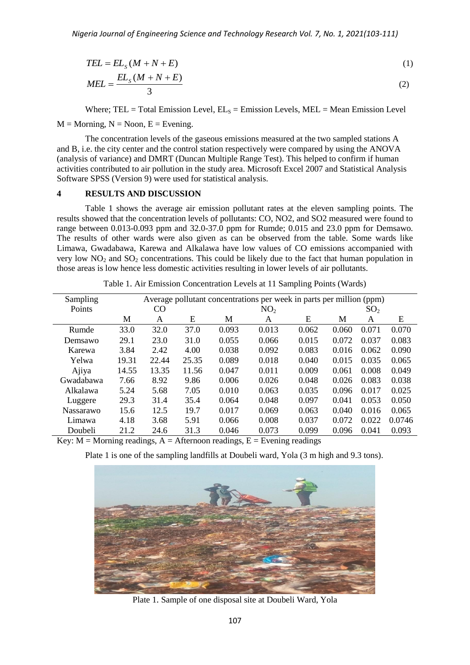$$
TEL = ELS(M + N + E)
$$
  
MEL = 
$$
\frac{ELS(M + N + E)}{3}
$$
 (1)

#### **4 RESULTS AND DISCUSSION**

|                                                                                                                                                                                                                                                                                                                                                                                                                                                                                                                                                                                                                                                                                                        | $TEL = ELS(M + N + E)$                    |       |       |       |                                                                                         |       |       |                 | (1)    |
|--------------------------------------------------------------------------------------------------------------------------------------------------------------------------------------------------------------------------------------------------------------------------------------------------------------------------------------------------------------------------------------------------------------------------------------------------------------------------------------------------------------------------------------------------------------------------------------------------------------------------------------------------------------------------------------------------------|-------------------------------------------|-------|-------|-------|-----------------------------------------------------------------------------------------|-------|-------|-----------------|--------|
| $MEL = \frac{EL_s(M+N+E)}{3}$                                                                                                                                                                                                                                                                                                                                                                                                                                                                                                                                                                                                                                                                          |                                           |       |       |       |                                                                                         |       | (2)   |                 |        |
|                                                                                                                                                                                                                                                                                                                                                                                                                                                                                                                                                                                                                                                                                                        |                                           |       |       |       |                                                                                         |       |       |                 |        |
| Where; TEL = Total Emission Level, $EL_s = E$ mission Levels, MEL = Mean Emission Level                                                                                                                                                                                                                                                                                                                                                                                                                                                                                                                                                                                                                |                                           |       |       |       |                                                                                         |       |       |                 |        |
|                                                                                                                                                                                                                                                                                                                                                                                                                                                                                                                                                                                                                                                                                                        | $M =$ Morning, $N =$ Noon, $E =$ Evening. |       |       |       |                                                                                         |       |       |                 |        |
| The concentration levels of the gaseous emissions measured at the two sampled stations A<br>and B, i.e. the city center and the control station respectively were compared by using the ANOVA<br>(analysis of variance) and DMRT (Duncan Multiple Range Test). This helped to confirm if human<br>activities contributed to air pollution in the study area. Microsoft Excel 2007 and Statistical Analysis<br>Software SPSS (Version 9) were used for statistical analysis.                                                                                                                                                                                                                            |                                           |       |       |       |                                                                                         |       |       |                 |        |
| 4                                                                                                                                                                                                                                                                                                                                                                                                                                                                                                                                                                                                                                                                                                      | <b>RESULTS AND DISCUSSION</b>             |       |       |       |                                                                                         |       |       |                 |        |
| Table 1 shows the average air emission pollutant rates at the eleven sampling points. The<br>results showed that the concentration levels of pollutants: CO, NO2, and SO2 measured were found to<br>range between 0.013-0.093 ppm and 32.0-37.0 ppm for Rumde; 0.015 and 23.0 ppm for Demsawo.<br>The results of other wards were also given as can be observed from the table. Some wards like<br>Limawa, Gwadabawa, Karewa and Alkalawa have low values of CO emissions accompanied with<br>very low $NO2$ and $SO2$ concentrations. This could be likely due to the fact that human population in<br>those areas is low hence less domestic activities resulting in lower levels of air pollutants. |                                           |       |       |       |                                                                                         |       |       |                 |        |
| Table 1. Air Emission Concentration Levels at 11 Sampling Points (Wards)                                                                                                                                                                                                                                                                                                                                                                                                                                                                                                                                                                                                                               |                                           |       |       |       |                                                                                         |       |       |                 |        |
| Sampling                                                                                                                                                                                                                                                                                                                                                                                                                                                                                                                                                                                                                                                                                               |                                           |       |       |       | Average pollutant concentrations per week in parts per million (ppm)                    |       |       |                 |        |
| Points                                                                                                                                                                                                                                                                                                                                                                                                                                                                                                                                                                                                                                                                                                 |                                           | CO    |       |       | NO <sub>2</sub>                                                                         |       |       | SO <sub>2</sub> |        |
|                                                                                                                                                                                                                                                                                                                                                                                                                                                                                                                                                                                                                                                                                                        | M                                         | A     | E     | M     | A                                                                                       | E     | M     | A               | E      |
| Rumde                                                                                                                                                                                                                                                                                                                                                                                                                                                                                                                                                                                                                                                                                                  | 33.0                                      | 32.0  | 37.0  | 0.093 | 0.013                                                                                   | 0.062 | 0.060 | 0.071           | 0.070  |
| Demsawo                                                                                                                                                                                                                                                                                                                                                                                                                                                                                                                                                                                                                                                                                                | 29.1                                      | 23.0  | 31.0  | 0.055 | 0.066                                                                                   | 0.015 | 0.072 | 0.037           | 0.083  |
| Karewa                                                                                                                                                                                                                                                                                                                                                                                                                                                                                                                                                                                                                                                                                                 | 3.84                                      | 2.42  | 4.00  | 0.038 | 0.092                                                                                   | 0.083 | 0.016 | 0.062           | 0.090  |
| Yelwa                                                                                                                                                                                                                                                                                                                                                                                                                                                                                                                                                                                                                                                                                                  | 19.31                                     | 22.44 | 25.35 | 0.089 | 0.018                                                                                   | 0.040 | 0.015 | 0.035           | 0.065  |
| Ajiya                                                                                                                                                                                                                                                                                                                                                                                                                                                                                                                                                                                                                                                                                                  | 14.55                                     | 13.35 | 11.56 | 0.047 | 0.011                                                                                   | 0.009 | 0.061 | 0.008           | 0.049  |
| Gwadabawa                                                                                                                                                                                                                                                                                                                                                                                                                                                                                                                                                                                                                                                                                              | 7.66                                      | 8.92  | 9.86  | 0.006 | 0.026                                                                                   | 0.048 | 0.026 | 0.083           | 0.038  |
| Alkalawa                                                                                                                                                                                                                                                                                                                                                                                                                                                                                                                                                                                                                                                                                               | 5.24                                      | 5.68  | 7.05  | 0.010 | 0.063                                                                                   | 0.035 | 0.096 | 0.017           | 0.025  |
| Luggere                                                                                                                                                                                                                                                                                                                                                                                                                                                                                                                                                                                                                                                                                                | 29.3                                      | 31.4  | 35.4  | 0.064 | 0.048                                                                                   | 0.097 | 0.041 | 0.053           | 0.050  |
| Nassarawo                                                                                                                                                                                                                                                                                                                                                                                                                                                                                                                                                                                                                                                                                              | 15.6                                      | 12.5  | 19.7  | 0.017 | 0.069                                                                                   | 0.063 | 0.040 | 0.016           | 0.065  |
| Limawa                                                                                                                                                                                                                                                                                                                                                                                                                                                                                                                                                                                                                                                                                                 | 4.18                                      | 3.68  | 5.91  | 0.066 | 0.008                                                                                   | 0.037 | 0.072 | 0.022           | 0.0746 |
| Doubeli                                                                                                                                                                                                                                                                                                                                                                                                                                                                                                                                                                                                                                                                                                | 21.2                                      | 24.6  | 31.3  | 0.046 | 0.073                                                                                   | 0.099 | 0.096 | 0.041           | 0.093  |
| Key: $M =$ Morning readings, $A =$ Afternoon readings, $E =$ Evening readings                                                                                                                                                                                                                                                                                                                                                                                                                                                                                                                                                                                                                          |                                           |       |       |       |                                                                                         |       |       |                 |        |
|                                                                                                                                                                                                                                                                                                                                                                                                                                                                                                                                                                                                                                                                                                        |                                           |       |       |       | Plate 1 is one of the sampling landfills at Doubeli ward, Yola (3 m high and 9.3 tons). |       |       |                 |        |
|                                                                                                                                                                                                                                                                                                                                                                                                                                                                                                                                                                                                                                                                                                        |                                           |       |       |       |                                                                                         |       |       |                 |        |
|                                                                                                                                                                                                                                                                                                                                                                                                                                                                                                                                                                                                                                                                                                        |                                           |       |       |       |                                                                                         |       |       |                 |        |
|                                                                                                                                                                                                                                                                                                                                                                                                                                                                                                                                                                                                                                                                                                        |                                           |       |       |       |                                                                                         |       |       |                 |        |
|                                                                                                                                                                                                                                                                                                                                                                                                                                                                                                                                                                                                                                                                                                        |                                           |       |       |       |                                                                                         |       |       |                 |        |
|                                                                                                                                                                                                                                                                                                                                                                                                                                                                                                                                                                                                                                                                                                        |                                           |       |       |       |                                                                                         |       |       |                 |        |
|                                                                                                                                                                                                                                                                                                                                                                                                                                                                                                                                                                                                                                                                                                        |                                           |       |       |       |                                                                                         |       |       |                 |        |
|                                                                                                                                                                                                                                                                                                                                                                                                                                                                                                                                                                                                                                                                                                        |                                           |       |       |       |                                                                                         |       |       |                 |        |
|                                                                                                                                                                                                                                                                                                                                                                                                                                                                                                                                                                                                                                                                                                        |                                           |       |       |       |                                                                                         |       |       |                 |        |
|                                                                                                                                                                                                                                                                                                                                                                                                                                                                                                                                                                                                                                                                                                        |                                           |       |       |       |                                                                                         |       |       |                 |        |
| Plate 1. Sample of one disposal site at Doubeli Ward, Yola                                                                                                                                                                                                                                                                                                                                                                                                                                                                                                                                                                                                                                             |                                           |       |       |       |                                                                                         |       |       |                 |        |
| 107                                                                                                                                                                                                                                                                                                                                                                                                                                                                                                                                                                                                                                                                                                    |                                           |       |       |       |                                                                                         |       |       |                 |        |

Table 1. Air Emission Concentration Levels at 11 Sampling Points (Wards)



Plate 1. Sample of one disposal site at Doubeli Ward, Yola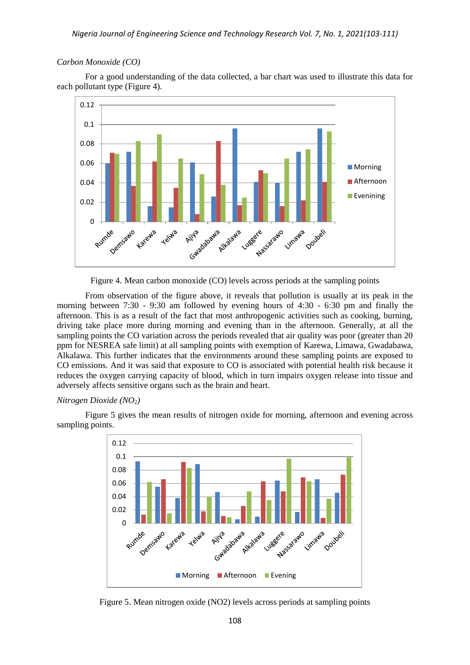## *Nigeria Journal of Engineering Science and Technology Research Vol. 7, No. 1, 2021(103-111)*

#### *Carbon Monoxide (CO)*

For a good understanding of the data collected, a bar chart was used to illustrate this data for each pollutant type (Figure 4).



Figure 4. Mean carbon monoxide (CO) levels across periods at the sampling points

From observation of the figure above, it reveals that pollution is usually at its peak in the morning between 7:30 - 9:30 am followed by evening hours of 4:30 - 6:30 pm and finally the afternoon. This is as a result of the fact that most anthropogenic activities such as cooking, burning, driving take place more during morning and evening than in the afternoon. Generally, at all the sampling points the CO variation across the periods revealed that air quality was poor (greater than 20) ppm for NESREA safe limit) at all sampling points with exemption of Karewa, Limawa, Gwadabawa, Alkalawa. This further indicates that the environments around these sampling points are exposed to CO emissions. And it was said that exposure to CO is associated with potential health risk because it reduces the oxygen carrying capacity of blood, which in turn impairs oxygen release into tissue and adversely affects sensitive organs such as the brain and heart.

#### *Nitrogen Dioxide (NO2)*

Figure 5 gives the mean results of nitrogen oxide for morning, afternoon and evening across sampling points.



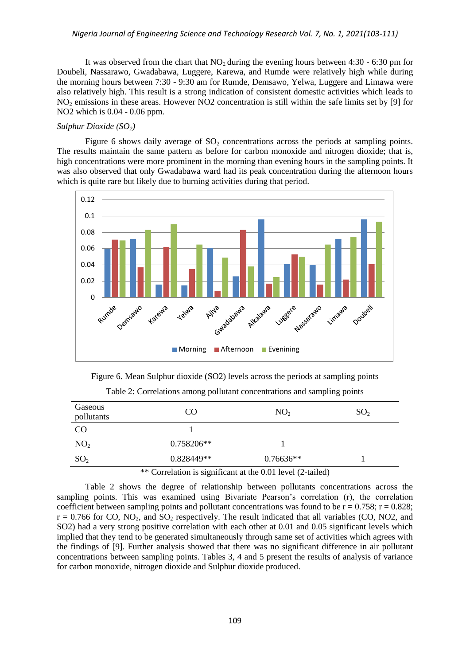## *Nigeria Journal of Engineering Science and Technology Research Vol. 7, No. 1, 2021(103-111)*

It was observed from the chart that  $NO<sub>2</sub>$  during the evening hours between 4:30 - 6:30 pm for Doubeli, Nassarawo, Gwadabawa, Luggere, Karewa, and Rumde were relatively high while during the morning hours between 7:30 - 9:30 am for Rumde, Demsawo, Yelwa, Luggere and Limawa were also relatively high. This result is a strong indication of consistent domestic activities which leads to NO<sup>2</sup> emissions in these areas. However NO2 concentration is still within the safe limits set by [9] for NO2 which is 0.04 - 0.06 ppm.

## *Sulphur Dioxide (SO2)*

Figure 6 shows daily average of  $SO<sub>2</sub>$  concentrations across the periods at sampling points. The results maintain the same pattern as before for carbon monoxide and nitrogen dioxide; that is, high concentrations were more prominent in the morning than evening hours in the sampling points. It was also observed that only Gwadabawa ward had its peak concentration during the afternoon hours which is quite rare but likely due to burning activities during that period.



Figure 6. Mean Sulphur dioxide (SO2) levels across the periods at sampling points

| Gaseous<br>pollutants                                      | CO.          | NO <sub>2</sub> | SO <sub>2</sub> |  |  |
|------------------------------------------------------------|--------------|-----------------|-----------------|--|--|
| <b>CO</b>                                                  |              |                 |                 |  |  |
| NO <sub>2</sub>                                            | $0.758206**$ |                 |                 |  |  |
| SO <sub>2</sub>                                            | $0.828449**$ | $0.76636**$     |                 |  |  |
| ** Correlation is significant at the 0.01 level (2-tailed) |              |                 |                 |  |  |

Table 2: Correlations among pollutant concentrations and sampling points

Table 2 shows the degree of relationship between pollutants concentrations across the sampling points. This was examined using Bivariate Pearson's correlation (r), the correlation coefficient between sampling points and pollutant concentrations was found to be  $r = 0.758$ ;  $r = 0.828$ ;  $r = 0.766$  for CO, NO<sub>2</sub>, and SO<sub>2</sub> respectively. The result indicated that all variables (CO, NO2, and SO2) had a very strong positive correlation with each other at 0.01 and 0.05 significant levels which implied that they tend to be generated simultaneously through same set of activities which agrees with the findings of [9]. Further analysis showed that there was no significant difference in air pollutant concentrations between sampling points. Tables 3, 4 and 5 present the results of analysis of variance for carbon monoxide, nitrogen dioxide and Sulphur dioxide produced.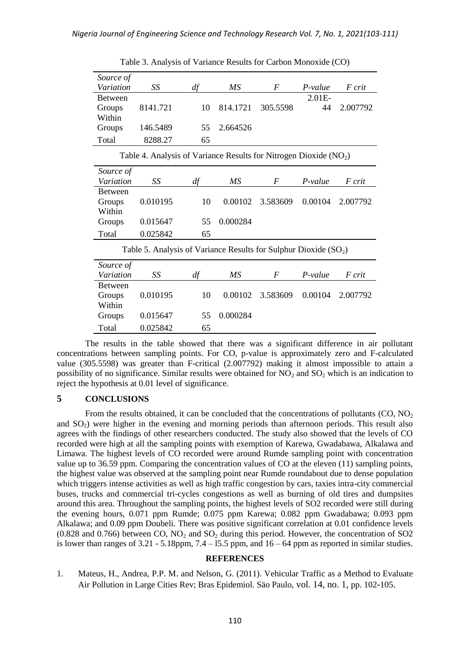| Source of                                                          |          |    |                 |                  |           |          |  |  |
|--------------------------------------------------------------------|----------|----|-----------------|------------------|-----------|----------|--|--|
| Variation                                                          | SS       | df | MS              | $\overline{F}$   | $P-value$ | F crit   |  |  |
| <b>Between</b>                                                     |          |    |                 |                  | 2.01E-    |          |  |  |
| Groups                                                             | 8141.721 | 10 | 814.1721        | 305.5598         | 44        | 2.007792 |  |  |
| Within                                                             |          |    |                 |                  |           |          |  |  |
| Groups                                                             | 146.5489 | 55 | 2.664526        |                  |           |          |  |  |
| Total                                                              | 8288.27  | 65 |                 |                  |           |          |  |  |
| Table 4. Analysis of Variance Results for Nitrogen Dioxide $(NO2)$ |          |    |                 |                  |           |          |  |  |
| Source of                                                          |          |    |                 |                  |           |          |  |  |
| Variation                                                          | SS       | df | $\overline{MS}$ | $\boldsymbol{F}$ | P-value   | F crit   |  |  |
| <b>Between</b>                                                     |          |    |                 |                  |           |          |  |  |
| Groups                                                             | 0.010195 | 10 | 0.00102         | 3.583609         | 0.00104   | 2.007792 |  |  |
| Within                                                             |          |    |                 |                  |           |          |  |  |
| Groups                                                             | 0.015647 | 55 | 0.000284        |                  |           |          |  |  |
| Total                                                              | 0.025842 | 65 |                 |                  |           |          |  |  |
| Table 5. Analysis of Variance Results for Sulphur Dioxide $(SO2)$  |          |    |                 |                  |           |          |  |  |
| Source of                                                          |          |    |                 |                  |           |          |  |  |
| Variation                                                          | SS       | df | MS              | $\boldsymbol{F}$ | $P-value$ | F crit   |  |  |
| <b>Between</b>                                                     |          |    |                 |                  |           |          |  |  |
| Groups                                                             | 0.010195 | 10 | 0.00102         | 3.583609         | 0.00104   | 2.007792 |  |  |
| Within                                                             |          |    |                 |                  |           |          |  |  |
| Groups                                                             | 0.015647 | 55 | 0.000284        |                  |           |          |  |  |
| Total                                                              | 0.025842 | 65 |                 |                  |           |          |  |  |

Table 3. Analysis of Variance Results for Carbon Monoxide (CO)

The results in the table showed that there was a significant difference in air pollutant concentrations between sampling points. For CO, p-value is approximately zero and F-calculated value (305.5598) was greater than F-critical (2.007792) making it almost impossible to attain a possibility of no significance. Similar results were obtained for  $NO<sub>2</sub>$  and  $SO<sub>2</sub>$  which is an indication to reject the hypothesis at 0.01 level of significance.

## **5 CONCLUSIONS**

From the results obtained, it can be concluded that the concentrations of pollutants  $(CO, NO<sub>2</sub>)$ and  $SO<sub>2</sub>$ ) were higher in the evening and morning periods than afternoon periods. This result also agrees with the findings of other researchers conducted. The study also showed that the levels of CO recorded were high at all the sampling points with exemption of Karewa, Gwadabawa, Alkalawa and Limawa. The highest levels of CO recorded were around Rumde sampling point with concentration value up to 36.59 ppm. Comparing the concentration values of CO at the eleven (11) sampling points, the highest value was observed at the sampling point near Rumde roundabout due to dense population which triggers intense activities as well as high traffic congestion by cars, taxies intra-city commercial buses, trucks and commercial tri-cycles congestions as well as burning of old tires and dumpsites around this area. Throughout the sampling points, the highest levels of SO2 recorded were still during the evening hours, 0.071 ppm Rumde; 0.075 ppm Karewa; 0.082 ppm Gwadabawa; 0.093 ppm Alkalawa; and 0.09 ppm Doubeli. There was positive significant correlation at 0.01 confidence levels  $(0.828$  and  $0.766)$  between CO, NO<sub>2</sub> and SO<sub>2</sub> during this period. However, the concentration of SO<sub>2</sub> is lower than ranges of  $3.21 - 5.18$ ppm,  $7.4 - 15.5$  ppm, and  $16 - 64$  ppm as reported in similar studies.

#### **REFERENCES**

1. Mateus, H., Andrea, P.P. M. and Nelson, G. (2011). Vehicular Traffic as a Method to Evaluate Air Pollution in Large Cities Rev; Bras Epidemiol. Säo Paulo, vol. 14, no. 1, pp. 102-105.